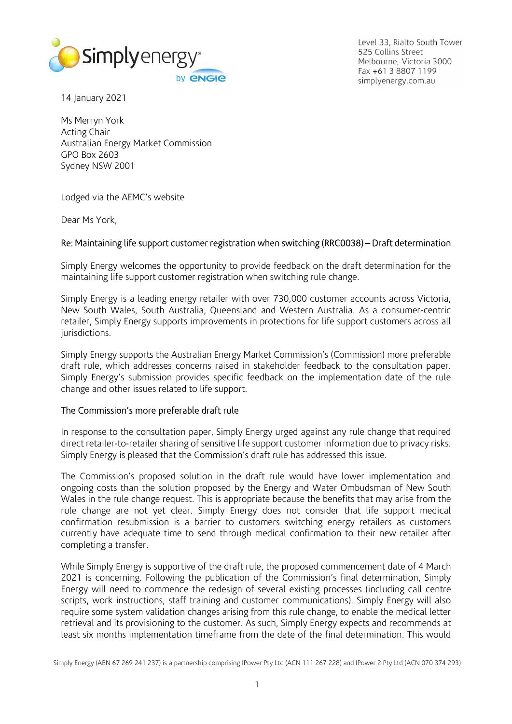

Level 33, Rialto South Tower 525 Collins Street Melbourne, Victoria 3000 Fax +61 3 8807 1199 simplyenergy.com.au

14 January 2021

Ms Merryn York Acting Chair Australian Energy Market Commission GPO Box 2603 Sydney NSW 2001

Lodged via the AEMC's website

Dear Ms York,

## Re: Maintaining life support customer registration when switching (RRC0038) – Draft determination

Simply Energy welcomes the opportunity to provide feedback on the draft determination for the maintaining life support customer registration when switching rule change.

Simply Energy is a leading energy retailer with over 730,000 customer accounts across Victoria, New South Wales, South Australia, Queensland and Western Australia. As a consumer-centric retailer, Simply Energy supports improvements in protections for life support customers across all jurisdictions.

Simply Energy supports the Australian Energy Market Commission's (Commission) more preferable draft rule, which addresses concerns raised in stakeholder feedback to the consultation paper. Simply Energy's submission provides specific feedback on the implementation date of the rule change and other issues related to life support.

## The Commission's more preferable draft rule

In response to the consultation paper, Simply Energy urged against any rule change that required direct retailer-to-retailer sharing of sensitive life support customer information due to privacy risks. Simply Energy is pleased that the Commission's draft rule has addressed this issue.

The Commission's proposed solution in the draft rule would have lower implementation and ongoing costs than the solution proposed by the Energy and Water Ombudsman of New South Wales in the rule change request. This is appropriate because the benefits that may arise from the rule change are not yet clear. Simply Energy does not consider that life support medical confirmation resubmission is a barrier to customers switching energy retailers as customers currently have adequate time to send through medical confirmation to their new retailer after completing a transfer.

While Simply Energy is supportive of the draft rule, the proposed commencement date of 4 March 2021 is concerning. Following the publication of the Commission's final determination, Simply Energy will need to commence the redesign of several existing processes (including call centre scripts, work instructions, staff training and customer communications). Simply Energy will also require some system validation changes arising from this rule change, to enable the medical letter retrieval and its provisioning to the customer. As such, Simply Energy expects and recommends at least six months implementation timeframe from the date of the final determination. This would